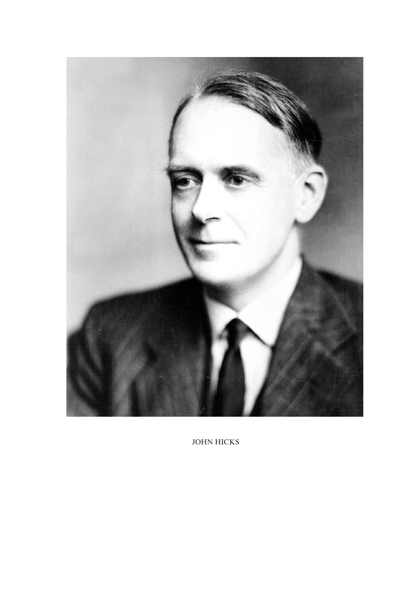

JOHN HICKS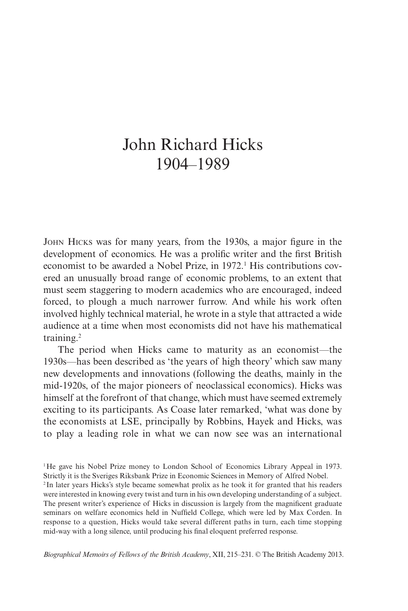## John Richard Hicks 1904–1989

John Hicks was for many years, from the 1930s, a major figure in the development of economics. He was a prolific writer and the first British economist to be awarded a Nobel Prize, in 1972.<sup>1</sup> His contributions covered an unusually broad range of economic problems, to an extent that must seem staggering to modern academics who are encouraged, indeed forced, to plough a much narrower furrow. And while his work often involved highly technical material, he wrote in a style that attracted a wide audience at a time when most economists did not have his mathematical training.2

The period when Hicks came to maturity as an economist—the 1930s—has been described as 'the years of high theory' which saw many new developments and innovations (following the deaths, mainly in the mid-1920s, of the major pioneers of neoclassical economics). Hicks was himself at the forefront of that change, which must have seemed extremely exciting to its participants. As Coase later remarked, 'what was done by the economists at LSE, principally by Robbins, Hayek and Hicks, was to play a leading role in what we can now see was an international

<sup>1</sup>He gave his Nobel Prize money to London School of Economics Library Appeal in 1973. Strictly it is the Sveriges Riksbank Prize in Economic Sciences in Memory of Alfred Nobel. <sup>2</sup> In later years Hicks's style became somewhat prolix as he took it for granted that his readers were interested in knowing every twist and turn in his own developing understanding of a subject. The present writer's experience of Hicks in discussion is largely from the magnificent graduate seminars on welfare economics held in Nuffield College, which were led by Max Corden. In response to a question, Hicks would take several different paths in turn, each time stopping mid-way with a long silence, until producing his final eloquent preferred response.

*Biographical Memoirs of Fellows of the British Academy*, XII, 215–231. © The British Academy 2013.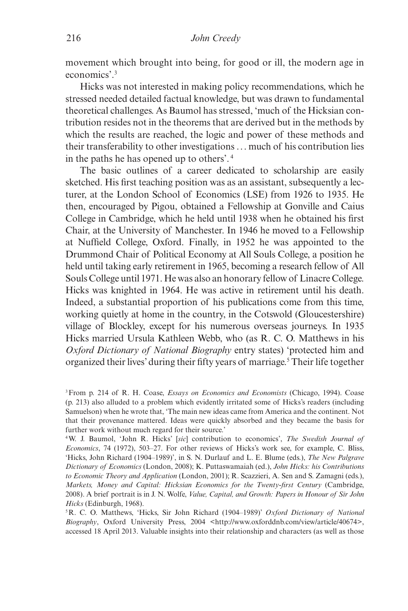movement which brought into being, for good or ill, the modern age in economics'.3

Hicks was not interested in making policy recommendations, which he stressed needed detailed factual knowledge, but was drawn to fundamental theoretical challenges. As Baumol has stressed, 'much of the Hicksian contribution resides not in the theorems that are derived but in the methods by which the results are reached, the logic and power of these methods and their transferability to other investigations ... much of his contribution lies in the paths he has opened up to others'. <sup>4</sup>

The basic outlines of a career dedicated to scholarship are easily sketched. His first teaching position was as an assistant, subsequently a lecturer, at the London School of Economics (LSE) from 1926 to 1935. He then, encouraged by Pigou, obtained a Fellowship at Gonville and Caius College in Cambridge, which he held until 1938 when he obtained his first Chair, at the University of Manchester. In 1946 he moved to a Fellowship at Nuffield College, Oxford. Finally, in 1952 he was appointed to the Drummond Chair of Political Economy at All Souls College, a position he held until taking early retirement in 1965, becoming a research fellow of All Souls College until 1971. He was also an honorary fellow of Linacre College. Hicks was knighted in 1964. He was active in retirement until his death. Indeed, a substantial proportion of his publications come from this time, working quietly at home in the country, in the Cotswold (Gloucestershire) village of Blockley, except for his numerous overseas journeys. In 1935 Hicks married Ursula Kathleen Webb, who (as R. C. O. Matthews in his *Oxford Dictionary of National Biography* entry states) 'protected him and organized their lives' during their fifty years of marriage.<sup>5</sup> Their life together

<sup>3</sup>From p. 214 of R. H. Coase, *Essays on Economics and Economists* (Chicago, 1994). Coase (p. 213) also alluded to a problem which evidently irritated some of Hicks's readers (including Samuelson) when he wrote that, 'The main new ideas came from America and the continent. Not that their provenance mattered. Ideas were quickly absorbed and they became the basis for further work without much regard for their source.'

<sup>4</sup>W. J. Baumol, 'John R. Hicks' [*sic*] contribution to economics', *The Swedish Journal of Economics*, 74 (1972), 503–27. For other reviews of Hicks's work see, for example, C. Bliss, 'Hicks, John Richard (1904–1989)', in S. N. Durlauf and L. E. Blume (eds.), *The New Palgrave Dictionary of Economics* (London, 2008); K. Puttaswamaiah (ed.), *John Hicks: his Contributions to Economic Theory and Application* (London, 2001); R. Scazzieri, A. Sen and S. Zamagni (eds.), *Markets, Money and Capital: Hicksian Economics for the Twenty-first Century* (Cambridge, 2008). A brief portrait is in J. N. Wolfe, *Value, Capital, and Growth: Papers in Honour of Sir John Hicks* (Edinburgh, 1968).

<sup>5</sup>R. C. O. Matthews, 'Hicks, Sir John Richard (1904–1989)' *Oxford Dictionary of National Biography*, Oxford University Press, 2004 <http://www.oxforddnb.com/view/article/40674>, accessed 18 April 2013. Valuable insights into their relationship and characters (as well as those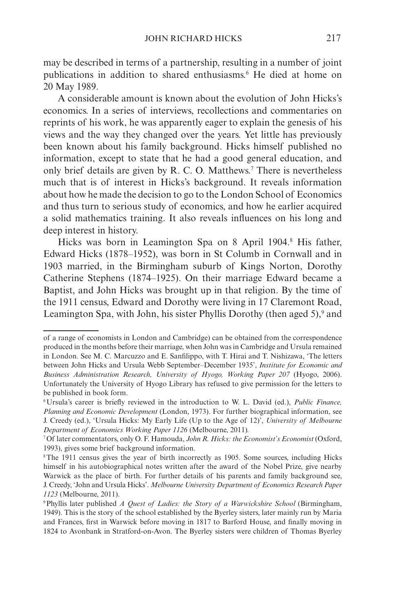may be described in terms of a partnership, resulting in a number of joint publications in addition to shared enthusiasms.6 He died at home on 20 May 1989.

A considerable amount is known about the evolution of John Hicks's economics. In a series of interviews, recollections and commentaries on reprints of his work, he was apparently eager to explain the genesis of his views and the way they changed over the years. Yet little has previously been known about his family background. Hicks himself published no information, except to state that he had a good general education, and only brief details are given by R. C. O. Matthews.<sup>7</sup> There is nevertheless much that is of interest in Hicks's background. It reveals information about how he made the decision to go to the London School of Economics and thus turn to serious study of economics, and how he earlier acquired a solid mathematics training. It also reveals influences on his long and deep interest in history.

Hicks was born in Leamington Spa on 8 April 1904.<sup>8</sup> His father, Edward Hicks (1878–1952), was born in St Columb in Cornwall and in 1903 married, in the Birmingham suburb of Kings Norton, Dorothy Catherine Stephens (1874–1925). On their marriage Edward became a Baptist, and John Hicks was brought up in that religion. By the time of the 1911 census, Edward and Dorothy were living in 17 Claremont Road, Leamington Spa, with John, his sister Phyllis Dorothy (then aged 5),<sup>9</sup> and

of a range of economists in London and Cambridge) can be obtained from the correspondence produced in the months before their marriage, when John was in Cambridge and Ursula remained in London. See M. C. Marcuzzo and E. Sanfilippo, with T. Hirai and T. Nishizawa, 'The letters between John Hicks and Ursula Webb September–December 1935', *Institute for Economic and Business Administration Research, University of Hyogo, Working Paper 207* (Hyogo, 2006). Unfortunately the University of Hyogo Library has refused to give permission for the letters to be published in book form.

<sup>6</sup>Ursula's career is briefly reviewed in the introduction to W. L. David (ed.), *Public Finance, Planning and Economic Development* (London, 1973). For further biographical information, see J. Creedy (ed.), 'Ursula Hicks: My Early Life (Up to the Age of 12)', *University of Melbourne Department of Economics Working Paper 1126* (Melbourne, 2011)*.* 

<sup>7</sup>Of later commentators, only O. F. Hamouda, *John R. Hicks: the Economist's Economist* (Oxford, 1993), gives some brief background information.

<sup>8</sup>The 1911 census gives the year of birth incorrectly as 1905. Some sources, including Hicks himself in his autobiographical notes written after the award of the Nobel Prize, give nearby Warwick as the place of birth. For further details of his parents and family background see, J. Creedy, 'John and Ursula Hicks'. *Melbourne University Department of Economics Research Paper 1123* (Melbourne, 2011).

<sup>9</sup>Phyllis later published *A Quest of Ladies: the Story of a Warwickshire School* (Birmingham, 1949). This is the story of the school established by the Byerley sisters, later mainly run by Maria and Frances, first in Warwick before moving in 1817 to Barford House, and finally moving in 1824 to Avonbank in Stratford-on-Avon. The Byerley sisters were children of Thomas Byerley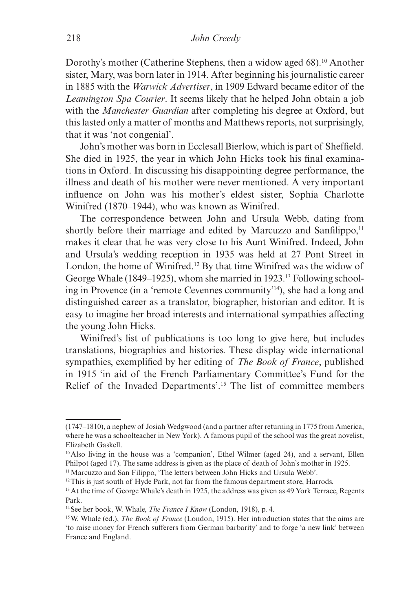Dorothy's mother (Catherine Stephens, then a widow aged 68).<sup>10</sup> Another sister, Mary, was born later in 1914. After beginning his journalistic career in 1885 with the *Warwick Advertiser*, in 1909 Edward became editor of the *Leamington Spa Courier*. It seems likely that he helped John obtain a job with the *Manchester Guardian* after completing his degree at Oxford, but this lasted only a matter of months and Matthews reports, not surprisingly, that it was 'not congenial'.

John's mother was born in Ecclesall Bierlow, which is part of Sheffield. She died in 1925, the year in which John Hicks took his final examinations in Oxford. In discussing his disappointing degree performance, the illness and death of his mother were never mentioned. A very important influence on John was his mother's eldest sister, Sophia Charlotte Winifred (1870–1944), who was known as Winifred.

The correspondence between John and Ursula Webb, dating from shortly before their marriage and edited by Marcuzzo and Sanfilippo,<sup>11</sup> makes it clear that he was very close to his Aunt Winifred. Indeed, John and Ursula's wedding reception in 1935 was held at 27 Pont Street in London, the home of Winifred.12 By that time Winifred was the widow of George Whale (1849–1925), whom she married in 1923.13 Following schooling in Provence (in a 'remote Cevennes community'14), she had a long and distinguished career as a translator, biographer, historian and editor. It is easy to imagine her broad interests and international sympathies affecting the young John Hicks.

Winifred's list of publications is too long to give here, but includes translations, biographies and histories. These display wide international sympathies, exemplified by her editing of *The Book of France*, published in 1915 'in aid of the French Parliamentary Committee's Fund for the Relief of the Invaded Departments'.15 The list of committee members

<sup>(1747–1810),</sup> a nephew of Josiah Wedgwood (and a partner after returning in 1775 from America, where he was a schoolteacher in New York). A famous pupil of the school was the great novelist, Elizabeth Gaskell.

<sup>10</sup>Also living in the house was a 'companion', Ethel Wilmer (aged 24), and a servant, Ellen Philpot (aged 17). The same address is given as the place of death of John's mother in 1925.

<sup>&</sup>lt;sup>11</sup> Marcuzzo and San Filippo, 'The letters between John Hicks and Ursula Webb'.

<sup>&</sup>lt;sup>12</sup>This is just south of Hyde Park, not far from the famous department store, Harrods.

<sup>&</sup>lt;sup>13</sup>At the time of George Whale's death in 1925, the address was given as 49 York Terrace, Regents Park.

<sup>14</sup>See her book, W. Whale, *The France I Know* (London, 1918), p. 4.

<sup>15</sup>W. Whale (ed.), *The Book of France* (London, 1915). Her introduction states that the aims are 'to raise money for French sufferers from German barbarity' and to forge 'a new link' between France and England.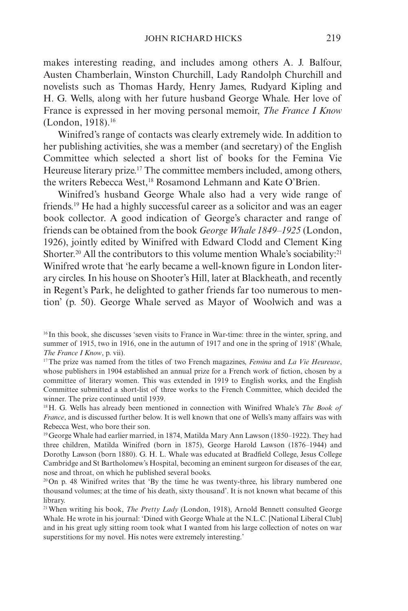makes interesting reading, and includes among others A. J. Balfour, Austen Chamberlain, Winston Churchill, Lady Randolph Churchill and novelists such as Thomas Hardy, Henry James, Rudyard Kipling and H. G. Wells, along with her future husband George Whale. Her love of France is expressed in her moving personal memoir, *The France I Know* (London, 1918).16

Winifred's range of contacts was clearly extremely wide. In addition to her publishing activities, she was a member (and secretary) of the English Committee which selected a short list of books for the Femina Vie Heureuse literary prize.<sup>17</sup> The committee members included, among others, the writers Rebecca West,18 Rosamond Lehmann and Kate O'Brien.

Winifred's husband George Whale also had a very wide range of friends.19 He had a highly successful career as a solicitor and was an eager book collector. A good indication of George's character and range of friends can be obtained from the book *George Whale 1849–1925* (London, 1926), jointly edited by Winifred with Edward Clodd and Clement King Shorter.<sup>20</sup> All the contributors to this volume mention Whale's sociability:<sup>21</sup> Winifred wrote that 'he early became a well-known figure in London literary circles. In his house on Shooter's Hill, later at Blackheath, and recently in Regent's Park, he delighted to gather friends far too numerous to mention' (p. 50). George Whale served as Mayor of Woolwich and was a

<sup>16</sup> In this book, she discusses 'seven visits to France in War-time: three in the winter, spring, and summer of 1915, two in 1916, one in the autumn of 1917 and one in the spring of 1918' (Whale, *The France I Know*, p. vii).

<sup>17</sup>The prize was named from the titles of two French magazines, *Femina* and *La Vie Heureuse*, whose publishers in 1904 established an annual prize for a French work of fiction, chosen by a committee of literary women. This was extended in 1919 to English works, and the English Committee submitted a short-list of three works to the French Committee, which decided the winner. The prize continued until 1939.

<sup>18</sup>H. G. Wells has already been mentioned in connection with Winifred Whale's *The Book of France*, and is discussed further below. It is well known that one of Wells's many affairs was with Rebecca West, who bore their son.

<sup>19</sup>George Whale had earlier married, in 1874, Matilda Mary Ann Lawson (1850–1922). They had three children, Matilda Winifred (born in 1875), George Harold Lawson (1876–1944) and Dorothy Lawson (born 1880). G. H. L. Whale was educated at Bradfield College, Jesus College Cambridge and St Bartholomew's Hospital, becoming an eminent surgeon for diseases of the ear, nose and throat, on which he published several books.

 $20$ On p. 48 Winifred writes that 'By the time he was twenty-three, his library numbered one thousand volumes; at the time of his death, sixty thousand'. It is not known what became of this library.

<sup>21</sup>When writing his book, *The Pretty Lady* (London, 1918), Arnold Bennett consulted George Whale. He wrote in his journal: 'Dined with George Whale at the N.L.C. [National Liberal Club] and in his great ugly sitting room took what I wanted from his large collection of notes on war superstitions for my novel. His notes were extremely interesting.'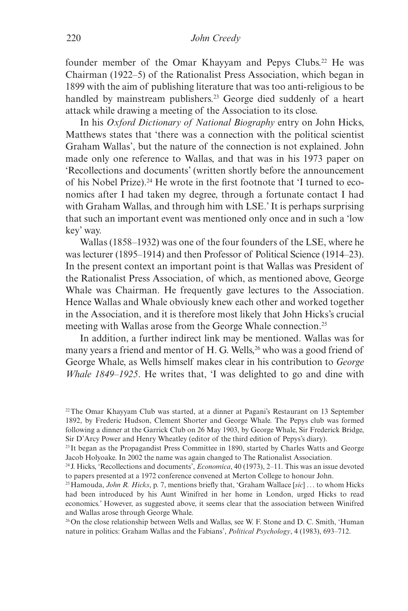founder member of the Omar Khayyam and Pepys Clubs.<sup>22</sup> He was Chairman (1922–5) of the Rationalist Press Association, which began in 1899 with the aim of publishing literature that was too anti-religious to be handled by mainstream publishers.<sup>23</sup> George died suddenly of a heart attack while drawing a meeting of the Association to its close.

In his *Oxford Dictionary of National Biography* entry on John Hicks, Matthews states that 'there was a connection with the political scientist Graham Wallas', but the nature of the connection is not explained. John made only one reference to Wallas, and that was in his 1973 paper on 'Recollections and documents' (written shortly before the announcement of his Nobel Prize).<sup>24</sup> He wrote in the first footnote that  $\dot{\mathbf{I}}$  turned to economics after I had taken my degree, through a fortunate contact I had with Graham Wallas, and through him with LSE.' It is perhaps surprising that such an important event was mentioned only once and in such a 'low key' way.

Wallas (1858–1932) was one of the four founders of the LSE, where he was lecturer (1895–1914) and then Professor of Political Science (1914–23). In the present context an important point is that Wallas was President of the Rationalist Press Association, of which, as mentioned above, George Whale was Chairman. He frequently gave lectures to the Association. Hence Wallas and Whale obviously knew each other and worked together in the Association, and it is therefore most likely that John Hicks's crucial meeting with Wallas arose from the George Whale connection.<sup>25</sup>

In addition, a further indirect link may be mentioned. Wallas was for many years a friend and mentor of H. G. Wells,<sup>26</sup> who was a good friend of George Whale, as Wells himself makes clear in his contribution to *George Whale 1849–1925*. He writes that, 'I was delighted to go and dine with

<sup>26</sup>On the close relationship between Wells and Wallas, see W. F. Stone and D. C. Smith, 'Human nature in politics: Graham Wallas and the Fabians', *Political Psychology*, 4 (1983), 693–712.

<sup>22</sup>The Omar Khayyam Club was started, at a dinner at Pagani's Restaurant on 13 September 1892, by Frederic Hudson, Clement Shorter and George Whale. The Pepys club was formed following a dinner at the Garrick Club on 26 May 1903, by George Whale, Sir Frederick Bridge, Sir D'Arcy Power and Henry Wheatley (editor of the third edition of Pepys's diary).

<sup>23</sup> It began as the Propagandist Press Committee in 1890, started by Charles Watts and George Jacob Holyoake. In 2002 the name was again changed to The Rationalist Association.

<sup>24</sup> J. Hicks, 'Recollections and documents', *Economica*, 40 (1973), 2–11. This was an issue devoted to papers presented at a 1972 conference convened at Merton College to honour John.

<sup>25</sup>Hamouda, *John R. Hicks*, p. 7, mentions briefly that, 'Graham Wallace [*sic*] ... to whom Hicks had been introduced by his Aunt Winifred in her home in London, urged Hicks to read economics.' However, as suggested above, it seems clear that the association between Winifred and Wallas arose through George Whale.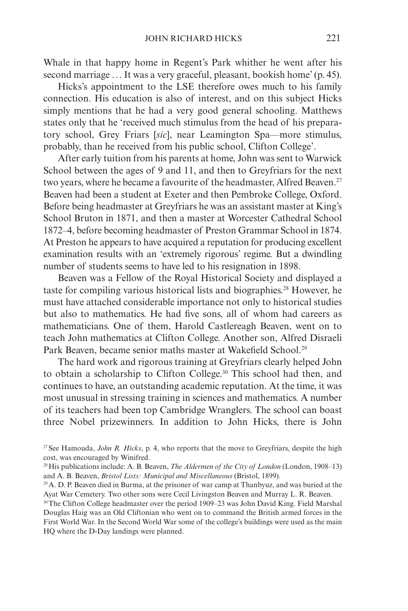Whale in that happy home in Regent's Park whither he went after his second marriage ... It was a very graceful, pleasant, bookish home' (p. 45).

Hicks's appointment to the LSE therefore owes much to his family connection. His education is also of interest, and on this subject Hicks simply mentions that he had a very good general schooling. Matthews states only that he 'received much stimulus from the head of his preparatory school, Grey Friars [*sic*], near Leamington Spa—more stimulus, probably, than he received from his public school, Clifton College'.

After early tuition from his parents at home, John was sent to Warwick School between the ages of 9 and 11, and then to Greyfriars for the next two years, where he became a favourite of the headmaster. Alfred Beaven.<sup>27</sup> Beaven had been a student at Exeter and then Pembroke College, Oxford. Before being headmaster at Greyfriars he was an assistant master at King's School Bruton in 1871, and then a master at Worcester Cathedral School 1872–4, before becoming headmaster of Preston Grammar School in 1874. At Preston he appears to have acquired a reputation for producing excellent examination results with an 'extremely rigorous' regime. But a dwindling number of students seems to have led to his resignation in 1898.

Beaven was a Fellow of the Royal Historical Society and displayed a taste for compiling various historical lists and biographies.<sup>28</sup> However, he must have attached considerable importance not only to historical studies but also to mathematics. He had five sons, all of whom had careers as mathematicians. One of them, Harold Castlereagh Beaven, went on to teach John mathematics at Clifton College. Another son, Alfred Disraeli Park Beaven, became senior maths master at Wakefield School.<sup>29</sup>

The hard work and rigorous training at Greyfriars clearly helped John to obtain a scholarship to Clifton College.30 This school had then, and continues to have, an outstanding academic reputation. At the time, it was most unusual in stressing training in sciences and mathematics. A number of its teachers had been top Cambridge Wranglers. The school can boast three Nobel prizewinners. In addition to John Hicks, there is John

<sup>27</sup>See Hamouda, *John R. Hicks*, p. 4, who reports that the move to Greyfriars, despite the high cost, was encouraged by Winifred.

<sup>28</sup>His publications include: A. B. Beaven, *The Aldermen of the City of London* (London, 1908–13) and A. B. Beaven, *Bristol Lists: Municipal and Miscellaneous* (Bristol, 1899).<br><sup>29</sup> A. D. P. Beaven died in Burma, at the prisoner of war camp at Thanbyuz, and was buried at the

Ayat War Cemetery. Two other sons were Cecil Livingston Beaven and Murray L. R. Beaven.

<sup>30</sup>The Clifton College headmaster over the period 1909–23 was John David King. Field Marshal Douglas Haig was an Old Cliftonian who went on to command the British armed forces in the First World War. In the Second World War some of the college's buildings were used as the main HQ where the D-Day landings were planned.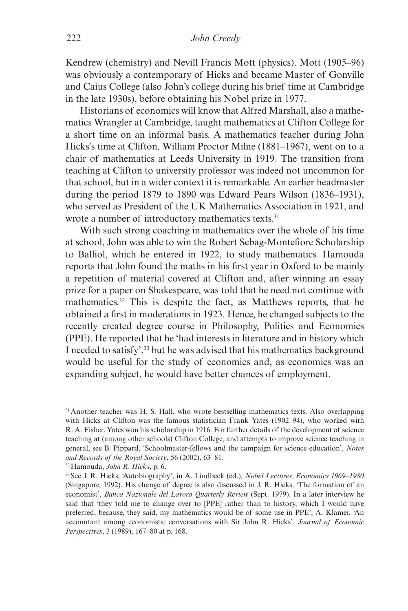Kendrew (chemistry) and Nevill Francis Mott (physics). Mott (1905–96) was obviously a contemporary of Hicks and became Master of Gonville and Caius College (also John's college during his brief time at Cambridge in the late 1930s), before obtaining his Nobel prize in 1977.

Historians of economics will know that Alfred Marshall, also a mathematics Wrangler at Cambridge, taught mathematics at Clifton College for a short time on an informal basis. A mathematics teacher during John Hicks's time at Clifton, William Proctor Milne (1881–1967), went on to a chair of mathematics at Leeds University in 1919. The transition from teaching at Clifton to university professor was indeed not uncommon for that school, but in a wider context it is remarkable. An earlier headmaster during the period 1879 to 1890 was Edward Pears Wilson (1836–1931), who served as President of the UK Mathematics Association in 1921, and wrote a number of introductory mathematics texts.<sup>31</sup>

With such strong coaching in mathematics over the whole of his time at school, John was able to win the Robert Sebag-Montefiore Scholarship to Balliol, which he entered in 1922, to study mathematics. Hamouda reports that John found the maths in his first year in Oxford to be mainly a repetition of material covered at Clifton and, after winning an essay prize for a paper on Shakespeare, was told that he need not continue with mathematics.32 This is despite the fact, as Matthews reports, that he obtained a first in moderations in 1923. Hence, he changed subjects to the recently created degree course in Philosophy, Politics and Economics (PPE). He reported that he 'had interests in literature and in history which I needed to satisfy',33 but he was advised that his mathematics background would be useful for the study of economics and, as economics was an expanding subject, he would have better chances of employment.

32Hamouda, *John R. Hicks*, p. 6.

<sup>&</sup>lt;sup>31</sup> Another teacher was H. S. Hall, who wrote bestselling mathematics texts. Also overlapping with Hicks at Clifton was the famous statistician Frank Yates (1902–94), who worked with R. A. Fisher. Yates won his scholarship in 1916. For further details of the development of science teaching at (among other schools) Clifton College, and attempts to improve science teaching in general, see B. Pippard, 'Schoolmaster-fellows and the campaign for science education', *Notes and Records of the Royal Society*, 56 (2002), 63–81.

<sup>33</sup>See J. R. Hicks, 'Autobiography', in A. Lindbeck (ed.), *Nobel Lectures, Economics 1969–1980* (Singapore, 1992). His change of degree is also discussed in J. R. Hicks, 'The formation of an economist', *Banca Nazionale del Lavoro Quarterly Review* (Sept. 1979). In a later interview he said that 'they told me to change over to [PPE] rather than to history, which I would have preferred, because, they said, my mathematics would be of some use in PPE'; A. Klamer, 'An accountant among economists: conversations with Sir John R. Hicks', *Journal of Economic Perspectives*, 3 (1989), 167–80 at p. 168.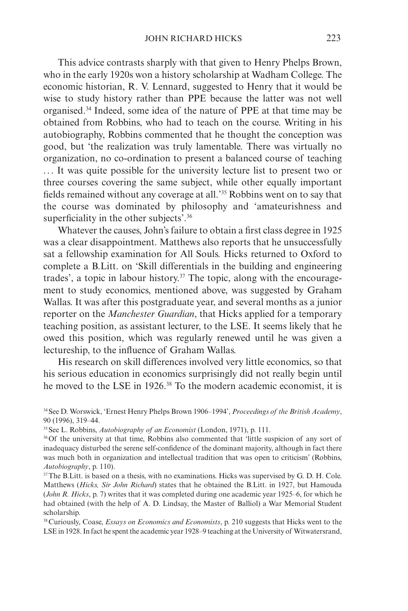This advice contrasts sharply with that given to Henry Phelps Brown, who in the early 1920s won a history scholarship at Wadham College. The economic historian, R. V. Lennard, suggested to Henry that it would be wise to study history rather than PPE because the latter was not well organised.34 Indeed, some idea of the nature of PPE at that time may be obtained from Robbins, who had to teach on the course. Writing in his autobiography, Robbins commented that he thought the conception was good, but 'the realization was truly lamentable. There was virtually no organization, no co-ordination to present a balanced course of teaching ... It was quite possible for the university lecture list to present two or three courses covering the same subject, while other equally important fields remained without any coverage at all.'35 Robbins went on to say that the course was dominated by philosophy and 'amateurishness and superficiality in the other subjects'.<sup>36</sup>

Whatever the causes, John's failure to obtain a first class degree in 1925 was a clear disappointment. Matthews also reports that he unsuccessfully sat a fellowship examination for All Souls. Hicks returned to Oxford to complete a B.Litt. on 'Skill differentials in the building and engineering trades', a topic in labour history.<sup>37</sup> The topic, along with the encouragement to study economics, mentioned above, was suggested by Graham Wallas. It was after this postgraduate year, and several months as a junior reporter on the *Manchester Guardian*, that Hicks applied for a temporary teaching position, as assistant lecturer, to the LSE. It seems likely that he owed this position, which was regularly renewed until he was given a lectureship, to the influence of Graham Wallas.

His research on skill differences involved very little economics, so that his serious education in economics surprisingly did not really begin until he moved to the LSE in 1926.<sup>38</sup> To the modern academic economist, it is

34See D. Worswick, 'Ernest Henry Phelps Brown 1906–1994', *Proceedings of the British Academy*, 90 (1996), 319–44.

35See L. Robbins, *Autobiography of an Economist* (London, 1971), p. 111.

<sup>36</sup>Of the university at that time, Robbins also commented that 'little suspicion of any sort of inadequacy disturbed the serene self-confidence of the dominant majority, although in fact there was much both in organization and intellectual tradition that was open to criticism' (Robbins, *Autobiography*, p. 110).

<sup>37</sup>The B.Litt. is based on a thesis, with no examinations. Hicks was supervised by G. D. H. Cole. Matthews (*Hicks, Sir John Richard*) states that he obtained the B.Litt. in 1927, but Hamouda (*John R. Hicks*, p. 7) writes that it was completed during one academic year 1925–6, for which he had obtained (with the help of A. D. Lindsay, the Master of Balliol) a War Memorial Student scholarship.

38Curiously, Coase, *Essays on Economics and Economists*, p. 210 suggests that Hicks went to the LSE in 1928. In fact he spent the academic year 1928–9 teaching at the University of Witwatersrand,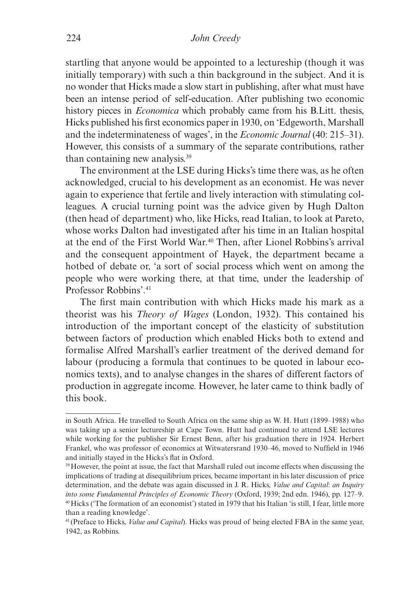startling that anyone would be appointed to a lectureship (though it was initially temporary) with such a thin background in the subject. And it is no wonder that Hicks made a slow start in publishing, after what must have been an intense period of self-education. After publishing two economic history pieces in *Economica* which probably came from his B.Litt. thesis, Hicks published his first economics paper in 1930, on 'Edgeworth, Marshall and the indeterminateness of wages', in the *Economic Journal* (40: 215–31). However, this consists of a summary of the separate contributions, rather than containing new analysis.39

The environment at the LSE during Hicks's time there was, as he often acknowledged, crucial to his development as an economist. He was never again to experience that fertile and lively interaction with stimulating colleagues. A crucial turning point was the advice given by Hugh Dalton (then head of department) who, like Hicks, read Italian, to look at Pareto, whose works Dalton had investigated after his time in an Italian hospital at the end of the First World War.40 Then, after Lionel Robbins's arrival and the consequent appointment of Hayek, the department became a hotbed of debate or, 'a sort of social process which went on among the people who were working there, at that time, under the leadership of Professor Robbins' <sup>41</sup>

The first main contribution with which Hicks made his mark as a theorist was his *Theory of Wages* (London, 1932). This contained his introduction of the important concept of the elasticity of substitution between factors of production which enabled Hicks both to extend and formalise Alfred Marshall's earlier treatment of the derived demand for labour (producing a formula that continues to be quoted in labour economics texts), and to analyse changes in the shares of different factors of production in aggregate income. However, he later came to think badly of this book.

in South Africa. He travelled to South Africa on the same ship as W. H. Hutt (1899–1988) who was taking up a senior lectureship at Cape Town. Hutt had continued to attend LSE lectures while working for the publisher Sir Ernest Benn, after his graduation there in 1924. Herbert Frankel, who was professor of economics at Witwatersrand 1930–46, moved to Nuffield in 1946 and initially stayed in the Hicks's flat in Oxford.

<sup>39</sup>However, the point at issue, the fact that Marshall ruled out income effects when discussing the implications of trading at disequilibrium prices, became important in his later discussion of price determination, and the debate was again discussed in J. R. Hicks, *Value and Capital*: *an Inquiry into some Fundamental Principles of Economic Theory* (Oxford, 1939; 2nd edn. 1946), pp. 127–9.<br><sup>40</sup>Hicks ('The formation of an economist') stated in 1979 that his Italian 'is still, I fear, little more than a reading knowledge'.

<sup>41</sup> (Preface to Hicks, *Value and Capital*). Hicks was proud of being elected FBA in the same year, 1942, as Robbins.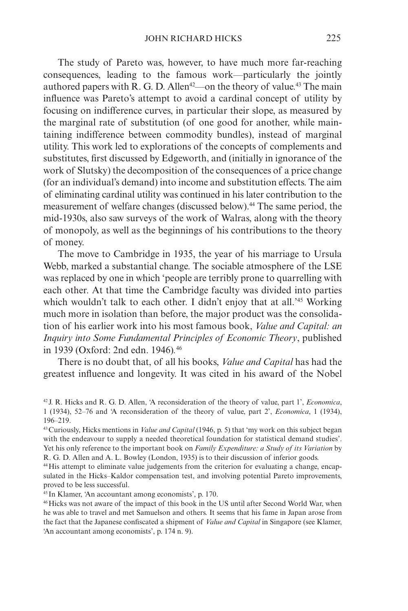The study of Pareto was, however, to have much more far-reaching consequences, leading to the famous work—particularly the jointly authored papers with R. G. D. Allen<sup>42</sup>—on the theory of value.<sup>43</sup> The main influence was Pareto's attempt to avoid a cardinal concept of utility by focusing on indifference curves, in particular their slope, as measured by the marginal rate of substitution (of one good for another, while maintaining indifference between commodity bundles), instead of marginal utility. This work led to explorations of the concepts of complements and substitutes, first discussed by Edgeworth, and (initially in ignorance of the work of Slutsky) the decomposition of the consequences of a price change (for an individual's demand) into income and substitution effects. The aim of eliminating cardinal utility was continued in his later contribution to the measurement of welfare changes (discussed below).<sup>44</sup> The same period, the mid-1930s, also saw surveys of the work of Walras, along with the theory of monopoly, as well as the beginnings of his contributions to the theory of money.

The move to Cambridge in 1935, the year of his marriage to Ursula Webb, marked a substantial change. The sociable atmosphere of the LSE was replaced by one in which 'people are terribly prone to quarrelling with each other. At that time the Cambridge faculty was divided into parties which wouldn't talk to each other. I didn't enjoy that at all.<sup>45</sup> Working much more in isolation than before, the major product was the consolidation of his earlier work into his most famous book, *Value and Capital: an Inquiry into Some Fundamental Principles of Economic Theory*, published in 1939 (Oxford: 2nd edn. 1946)*.* 46

There is no doubt that, of all his books, *Value and Capital* has had the greatest influence and longevity. It was cited in his award of the Nobel

<sup>45</sup> In Klamer, 'An accountant among economists', p. 170.

46Hicks was not aware of the impact of this book in the US until after Second World War, when he was able to travel and met Samuelson and others. It seems that his fame in Japan arose from the fact that the Japanese confiscated a shipment of *Value and Capital* in Singapore (see Klamer, 'An accountant among economists', p. 174 n. 9).

<sup>42</sup> J. R. Hicks and R. G. D. Allen, 'A reconsideration of the theory of value, part 1', *Economica*, 1 (1934), 52–76 and 'A reconsideration of the theory of value, part 2', *Economica*, 1 (1934), 196–219.

<sup>43</sup>Curiously, Hicks mentions in *Value and Capital* (1946, p. 5) that 'my work on this subject began with the endeavour to supply a needed theoretical foundation for statistical demand studies'. Yet his only reference to the important book on *Family Expenditure: a Study of its Variation* by R. G. D. Allen and A. L. Bowley (London, 1935) is to their discussion of inferior goods.

<sup>44</sup>His attempt to eliminate value judgements from the criterion for evaluating a change, encapsulated in the Hicks–Kaldor compensation test, and involving potential Pareto improvements, proved to be less successful.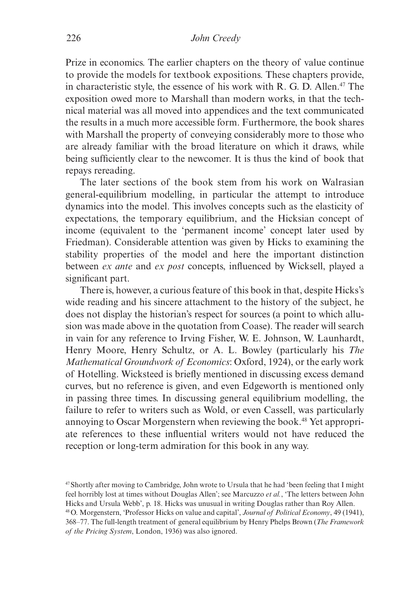Prize in economics. The earlier chapters on the theory of value continue to provide the models for textbook expositions. These chapters provide, in characteristic style, the essence of his work with R. G. D. Allen.<sup>47</sup> The exposition owed more to Marshall than modern works, in that the technical material was all moved into appendices and the text communicated the results in a much more accessible form. Furthermore, the book shares with Marshall the property of conveying considerably more to those who are already familiar with the broad literature on which it draws, while being sufficiently clear to the newcomer. It is thus the kind of book that repays rereading.

The later sections of the book stem from his work on Walrasian general-equilibrium modelling, in particular the attempt to introduce dynamics into the model. This involves concepts such as the elasticity of expectations, the temporary equilibrium, and the Hicksian concept of income (equivalent to the 'permanent income' concept later used by Friedman). Considerable attention was given by Hicks to examining the stability properties of the model and here the important distinction between *ex ante* and *ex post* concepts, influenced by Wicksell, played a significant part.

There is, however, a curious feature of this book in that, despite Hicks's wide reading and his sincere attachment to the history of the subject, he does not display the historian's respect for sources (a point to which allusion was made above in the quotation from Coase). The reader will search in vain for any reference to Irving Fisher, W. E. Johnson, W. Launhardt, Henry Moore, Henry Schultz, or A. L. Bowley (particularly his *The Mathematical Groundwork of Economics*: Oxford, 1924), or the early work of Hotelling. Wicksteed is briefly mentioned in discussing excess demand curves, but no reference is given, and even Edgeworth is mentioned only in passing three times. In discussing general equilibrium modelling, the failure to refer to writers such as Wold, or even Cassell, was particularly annoying to Oscar Morgenstern when reviewing the book.<sup>48</sup> Yet appropriate references to these influential writers would not have reduced the reception or long-term admiration for this book in any way.

<sup>47</sup>Shortly after moving to Cambridge, John wrote to Ursula that he had 'been feeling that I might feel horribly lost at times without Douglas Allen'; see Marcuzzo *et al.*, 'The letters between John Hicks and Ursula Webb', p. 18. Hicks was unusual in writing Douglas rather than Roy Allen.

<sup>48</sup>O. Morgenstern, 'Professor Hicks on value and capital', *Journal of Political Economy*, 49 (1941), 368–77. The full-length treatment of general equilibrium by Henry Phelps Brown (*The Framework of the Pricing System*, London, 1936) was also ignored.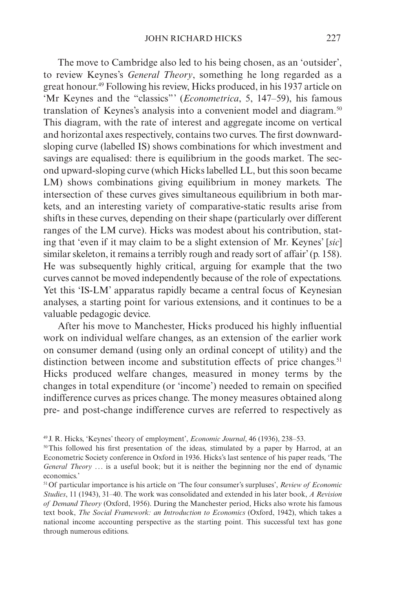The move to Cambridge also led to his being chosen, as an 'outsider', to review Keynes's *General Theory*, something he long regarded as a great honour.49 Following his review, Hicks produced, in his 1937 article on 'Mr Keynes and the "classics"' (*Econometrica*, 5, 147–59), his famous translation of Keynes's analysis into a convenient model and diagram.<sup>50</sup> This diagram, with the rate of interest and aggregate income on vertical and horizontal axes respectively, contains two curves. The first downwardsloping curve (labelled IS) shows combinations for which investment and savings are equalised: there is equilibrium in the goods market. The second upward-sloping curve (which Hicks labelled LL, but this soon became LM) shows combinations giving equilibrium in money markets. The intersection of these curves gives simultaneous equilibrium in both markets, and an interesting variety of comparative-static results arise from shifts in these curves, depending on their shape (particularly over different ranges of the LM curve). Hicks was modest about his contribution, stating that 'even if it may claim to be a slight extension of Mr. Keynes' [*sic*] similar skeleton, it remains a terribly rough and ready sort of affair' (p. 158). He was subsequently highly critical, arguing for example that the two curves cannot be moved independently because of the role of expectations. Yet this 'IS-LM' apparatus rapidly became a central focus of Keynesian analyses, a starting point for various extensions, and it continues to be a valuable pedagogic device.

After his move to Manchester, Hicks produced his highly influential work on individual welfare changes, as an extension of the earlier work on consumer demand (using only an ordinal concept of utility) and the distinction between income and substitution effects of price changes.<sup>51</sup> Hicks produced welfare changes, measured in money terms by the changes in total expenditure (or 'income') needed to remain on specified indifference curves as prices change. The money measures obtained along pre- and post-change indifference curves are referred to respectively as

<sup>49</sup> J. R. Hicks, 'Keynes' theory of employment', *Economic Journal*, 46 (1936), 238–53.

<sup>50</sup>This followed his first presentation of the ideas, stimulated by a paper by Harrod, at an Econometric Society conference in Oxford in 1936. Hicks's last sentence of his paper reads, 'The *General Theory* ... is a useful book; but it is neither the beginning nor the end of dynamic economics.'

<sup>51</sup>Of particular importance is his article on 'The four consumer's surpluses', *Review of Economic Studies*, 11 (1943), 31–40. The work was consolidated and extended in his later book, *A Revision of Demand Theory* (Oxford, 1956). During the Manchester period, Hicks also wrote his famous text book, *The Social Framework: an Introduction to Economics* (Oxford, 1942), which takes a national income accounting perspective as the starting point. This successful text has gone through numerous editions.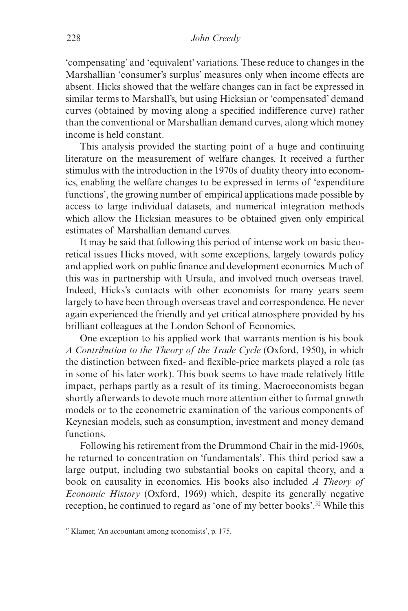'compensating' and 'equivalent' variations. These reduce to changes in the Marshallian 'consumer's surplus' measures only when income effects are absent. Hicks showed that the welfare changes can in fact be expressed in similar terms to Marshall's, but using Hicksian or 'compensated' demand curves (obtained by moving along a specified indifference curve) rather than the conventional or Marshallian demand curves, along which money income is held constant.

This analysis provided the starting point of a huge and continuing literature on the measurement of welfare changes. It received a further stimulus with the introduction in the 1970s of duality theory into economics, enabling the welfare changes to be expressed in terms of 'expenditure functions', the growing number of empirical applications made possible by access to large individual datasets, and numerical integration methods which allow the Hicksian measures to be obtained given only empirical estimates of Marshallian demand curves.

It may be said that following this period of intense work on basic theoretical issues Hicks moved, with some exceptions, largely towards policy and applied work on public finance and development economics. Much of this was in partnership with Ursula, and involved much overseas travel. Indeed, Hicks's contacts with other economists for many years seem largely to have been through overseas travel and correspondence. He never again experienced the friendly and yet critical atmosphere provided by his brilliant colleagues at the London School of Economics.

One exception to his applied work that warrants mention is his book *A Contribution to the Theory of the Trade Cycle* (Oxford, 1950), in which the distinction between fixed- and flexible-price markets played a role (as in some of his later work). This book seems to have made relatively little impact, perhaps partly as a result of its timing. Macroeconomists began shortly afterwards to devote much more attention either to formal growth models or to the econometric examination of the various components of Keynesian models, such as consumption, investment and money demand functions.

Following his retirement from the Drummond Chair in the mid-1960s, he returned to concentration on 'fundamentals'. This third period saw a large output, including two substantial books on capital theory, and a book on causality in economics. His books also included *A Theory of Economic History* (Oxford, 1969) which, despite its generally negative reception, he continued to regard as 'one of my better books'.52 While this

<sup>52</sup>Klamer, 'An accountant among economists', p. 175.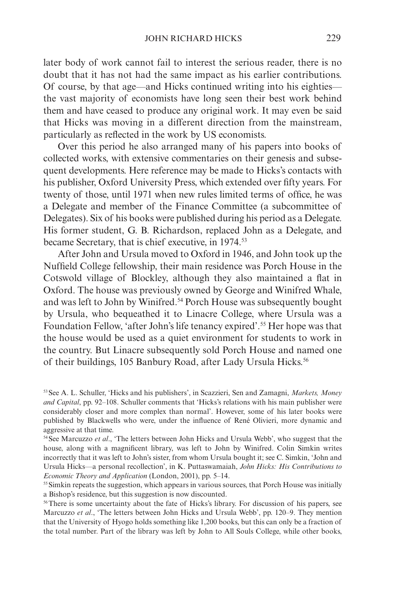later body of work cannot fail to interest the serious reader, there is no doubt that it has not had the same impact as his earlier contributions. Of course, by that age—and Hicks continued writing into his eighties the vast majority of economists have long seen their best work behind them and have ceased to produce any original work. It may even be said that Hicks was moving in a different direction from the mainstream, particularly as reflected in the work by US economists.

Over this period he also arranged many of his papers into books of collected works, with extensive commentaries on their genesis and subsequent developments. Here reference may be made to Hicks's contacts with his publisher, Oxford University Press, which extended over fifty years. For twenty of those, until 1971 when new rules limited terms of office, he was a Delegate and member of the Finance Committee (a subcommittee of Delegates). Six of his books were published during his period as a Delegate. His former student, G. B. Richardson, replaced John as a Delegate, and became Secretary, that is chief executive, in 1974.53

After John and Ursula moved to Oxford in 1946, and John took up the Nuffield College fellowship, their main residence was Porch House in the Cotswold village of Blockley, although they also maintained a flat in Oxford. The house was previously owned by George and Winifred Whale, and was left to John by Winifred.<sup>54</sup> Porch House was subsequently bought by Ursula, who bequeathed it to Linacre College, where Ursula was a Foundation Fellow, 'after John's life tenancy expired'.<sup>55</sup> Her hope was that the house would be used as a quiet environment for students to work in the country. But Linacre subsequently sold Porch House and named one of their buildings, 105 Banbury Road, after Lady Ursula Hicks.<sup>56</sup>

<sup>53</sup>See A. L. Schuller, 'Hicks and his publishers', in Scazzieri, Sen and Zamagni, *Markets, Money and Capital*, pp. 92–108. Schuller comments that 'Hicks's relations with his main publisher were considerably closer and more complex than normal'. However, some of his later books were published by Blackwells who were, under the influence of René Olivieri, more dynamic and aggressive at that time.

<sup>54</sup>See Marcuzzo *et al*., 'The letters between John Hicks and Ursula Webb', who suggest that the house, along with a magnificent library, was left to John by Winifred. Colin Simkin writes incorrectly that it was left to John's sister, from whom Ursula bought it; see C. Simkin, 'John and Ursula Hicks—a personal recollection', in K. Puttaswamaiah, *John Hicks: His Contributions to Economic Theory and Application* (London, 2001), pp. 5–14.

<sup>&</sup>lt;sup>55</sup> Simkin repeats the suggestion, which appears in various sources, that Porch House was initially a Bishop's residence, but this suggestion is now discounted.

<sup>&</sup>lt;sup>56</sup>There is some uncertainty about the fate of Hicks's library. For discussion of his papers, see Marcuzzo *et al*., 'The letters between John Hicks and Ursula Webb', pp. 120–9. They mention that the University of Hyogo holds something like 1,200 books, but this can only be a fraction of the total number. Part of the library was left by John to All Souls College, while other books,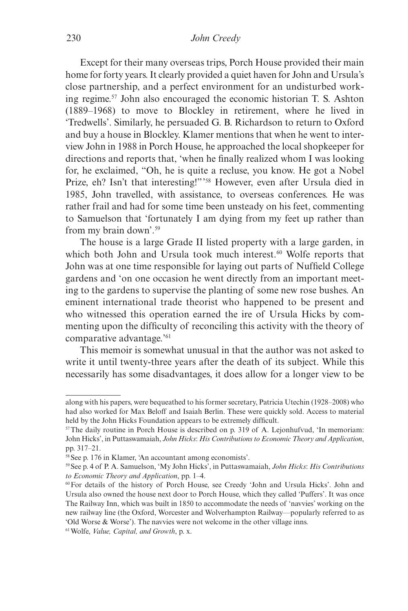Except for their many overseas trips, Porch House provided their main home for forty years. It clearly provided a quiet haven for John and Ursula's close partnership, and a perfect environment for an undisturbed working regime.57 John also encouraged the economic historian T. S. Ashton (1889–1968) to move to Blockley in retirement, where he lived in 'Tredwells'. Similarly, he persuaded G. B. Richardson to return to Oxford and buy a house in Blockley. Klamer mentions that when he went to interview John in 1988 in Porch House, he approached the local shopkeeper for directions and reports that, 'when he finally realized whom I was looking for, he exclaimed, "Oh, he is quite a recluse, you know. He got a Nobel Prize, eh? Isn't that interesting!"' 58 However, even after Ursula died in 1985, John travelled, with assistance, to overseas conferences. He was rather frail and had for some time been unsteady on his feet, commenting to Samuelson that 'fortunately I am dying from my feet up rather than from my brain down'.59

The house is a large Grade II listed property with a large garden, in which both John and Ursula took much interest.<sup>60</sup> Wolfe reports that John was at one time responsible for laying out parts of Nuffield College gardens and 'on one occasion he went directly from an important meeting to the gardens to supervise the planting of some new rose bushes. An eminent international trade theorist who happened to be present and who witnessed this operation earned the ire of Ursula Hicks by commenting upon the difficulty of reconciling this activity with the theory of comparative advantage.'61

This memoir is somewhat unusual in that the author was not asked to write it until twenty-three years after the death of its subject. While this necessarily has some disadvantages, it does allow for a longer view to be

along with his papers, were bequeathed to his former secretary, Patricia Utechin (1928–2008) who had also worked for Max Beloff and Isaiah Berlin. These were quickly sold. Access to material held by the John Hicks Foundation appears to be extremely difficult.

<sup>57</sup>The daily routine in Porch House is described on p. 319 of A. Lejonhufvud, 'In memoriam: John Hicks', in Puttaswamaiah, *John Hicks*: *His Contributions to Economic Theory and Application*, pp. 317–21.

<sup>58</sup>See p. 176 in Klamer, 'An accountant among economists'.

<sup>59</sup>See p. 4 of P. A. Samuelson, 'My John Hicks', in Puttaswamaiah, *John Hicks*: *His Contributions to Economic Theory and Application*, pp. 1–4.

<sup>60</sup>For details of the history of Porch House, see Creedy 'John and Ursula Hicks'. John and Ursula also owned the house next door to Porch House, which they called 'Puffers'. It was once The Railway Inn, which was built in 1850 to accommodate the needs of 'navvies' working on the new railway line (the Oxford, Worcester and Wolverhampton Railway—popularly referred to as 'Old Worse & Worse'). The navvies were not welcome in the other village inns.

<sup>61</sup>Wolfe, *Value, Capital, and Growth*, p. x.